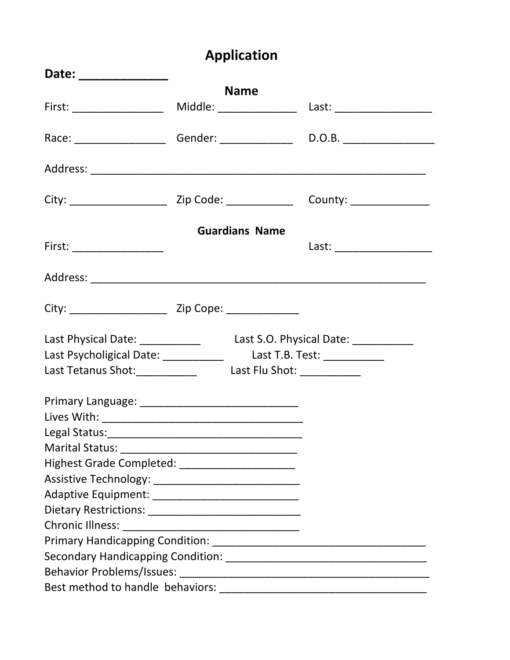## **Application**

| Date: ______________                                                  |                       |                                     |
|-----------------------------------------------------------------------|-----------------------|-------------------------------------|
|                                                                       | <b>Name</b>           |                                     |
|                                                                       |                       |                                     |
|                                                                       |                       |                                     |
|                                                                       |                       |                                     |
| City: ___________________________________ Zip Code: _________________ |                       | County: _______________             |
|                                                                       | <b>Guardians Name</b> |                                     |
|                                                                       |                       | Last: ________________________      |
|                                                                       |                       |                                     |
|                                                                       |                       |                                     |
| Last Physical Date: ____________                                      |                       | Last S.O. Physical Date: __________ |
| Last Psycholigical Date: _____________ Last T.B. Test: ___________    |                       |                                     |
| Last Tetanus Shot: _______________ Last Flu Shot: ____________        |                       |                                     |
|                                                                       |                       |                                     |
|                                                                       |                       |                                     |
|                                                                       |                       |                                     |
|                                                                       |                       |                                     |
| Highest Grade Completed: ______________________                       |                       |                                     |
|                                                                       |                       |                                     |
|                                                                       |                       |                                     |
|                                                                       |                       |                                     |
|                                                                       |                       |                                     |
|                                                                       |                       |                                     |
|                                                                       |                       |                                     |
|                                                                       |                       |                                     |
|                                                                       |                       |                                     |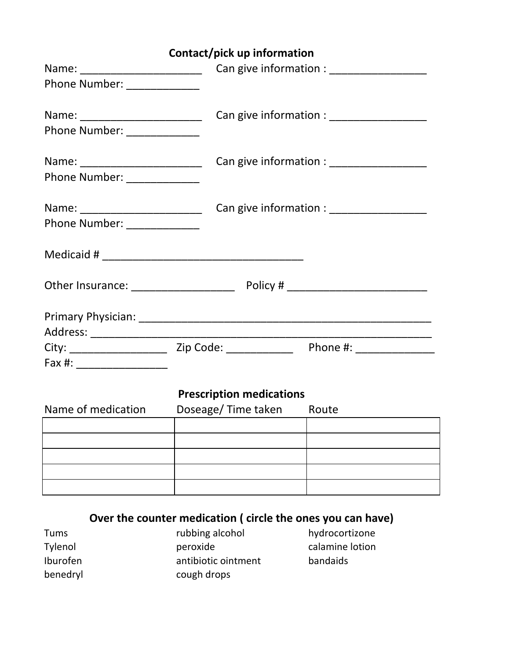|  |  |  | Contact/pick up information |
|--|--|--|-----------------------------|
|--|--|--|-----------------------------|

| Phone Number: _____________                                    |                                 |                                              |
|----------------------------------------------------------------|---------------------------------|----------------------------------------------|
| Name: _________________________<br>Phone Number: _____________ |                                 | Can give information : __________________    |
| Name: ________________________<br>Phone Number: _____________  |                                 | Can give information : _____________________ |
| Name: ________________________<br>Phone Number: _____________  |                                 |                                              |
|                                                                |                                 |                                              |
|                                                                |                                 |                                              |
|                                                                |                                 |                                              |
|                                                                |                                 |                                              |
|                                                                | <b>Prescription medications</b> |                                              |
| Name of medication                                             | Doseage/Time taken Route        |                                              |
|                                                                |                                 |                                              |
|                                                                |                                 |                                              |
|                                                                |                                 |                                              |
|                                                                |                                 |                                              |

**Over the counter medication ( circle the ones you can have)**

| Tums     |
|----------|
| Tylenol  |
| Iburofen |
| benedryl |

rubbing alcohol hydrocortizone peroxide calamine lotion antibiotic ointment bandaids cough drops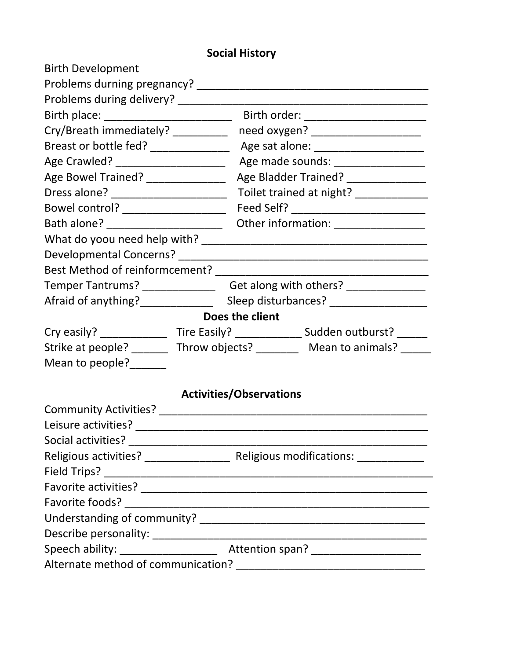## **Social History**

| <b>Birth Development</b>              |  |                                                                                  |                                                                                   |  |
|---------------------------------------|--|----------------------------------------------------------------------------------|-----------------------------------------------------------------------------------|--|
|                                       |  |                                                                                  |                                                                                   |  |
|                                       |  |                                                                                  |                                                                                   |  |
|                                       |  |                                                                                  |                                                                                   |  |
| Cry/Breath immediately? __________    |  |                                                                                  | need oxygen? ______________________                                               |  |
|                                       |  |                                                                                  |                                                                                   |  |
| Age Crawled? _______________________  |  | Age made sounds: ___________________                                             |                                                                                   |  |
| Age Bowel Trained? _______________    |  | Age Bladder Trained? ______________                                              |                                                                                   |  |
|                                       |  |                                                                                  |                                                                                   |  |
|                                       |  |                                                                                  |                                                                                   |  |
| Bath alone? _________________________ |  | Other information: ________________                                              |                                                                                   |  |
|                                       |  |                                                                                  |                                                                                   |  |
|                                       |  |                                                                                  |                                                                                   |  |
|                                       |  |                                                                                  |                                                                                   |  |
|                                       |  | Temper Tantrums? ___________________Get along with others? _____________________ |                                                                                   |  |
|                                       |  |                                                                                  | Afraid of anything?______________________Sleep disturbances? ___________________  |  |
|                                       |  | Does the client                                                                  |                                                                                   |  |
|                                       |  |                                                                                  | Cry easily? _________________Tire Easily? ________________Sudden outburst? ______ |  |
|                                       |  |                                                                                  | Strike at people? ________ Throw objects? _________ Mean to animals?              |  |
| Mean to people?                       |  |                                                                                  |                                                                                   |  |
|                                       |  |                                                                                  |                                                                                   |  |
|                                       |  | <b>Activities/Observations</b>                                                   |                                                                                   |  |
|                                       |  |                                                                                  |                                                                                   |  |
| Leisure activities?                   |  |                                                                                  |                                                                                   |  |
|                                       |  |                                                                                  |                                                                                   |  |
|                                       |  |                                                                                  |                                                                                   |  |
|                                       |  |                                                                                  |                                                                                   |  |
|                                       |  |                                                                                  |                                                                                   |  |
|                                       |  |                                                                                  |                                                                                   |  |
|                                       |  |                                                                                  |                                                                                   |  |
|                                       |  |                                                                                  |                                                                                   |  |
|                                       |  |                                                                                  |                                                                                   |  |
|                                       |  |                                                                                  |                                                                                   |  |